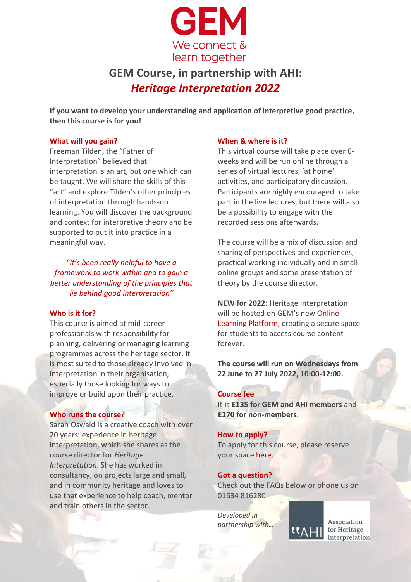

# **GEM Course, in partnership with AHI:** *Heritage Interpretation 2022*

**If you want to develop your understanding and application of interpretive good practice, then this course is for you!** 

### **What will you gain?**

Freeman Tilden, the "Father of Interpretation" believed that interpretation is an art, but one which can be taught. We will share the skills of this "art" and explore Tilden's other principles of interpretation through hands-on learning. You will discover the background and context for interpretive theory and be supported to put it into practice in a meaningful way.

*"It's been really helpful to have a framework to work within and to gain a better understanding of the principles that lie behind good interpretation"*

### **Who is it for?**

This course is aimed at mid-career professionals with responsibility for planning, delivering or managing learning programmes across the heritage sector. It is most suited to those already involved in interpretation in their organisation, especially those looking for ways to improve or build upon their practice.

### **Who runs the course?**

Sarah Oswald is a creative coach with over 20 years' experience in heritage interpretation, which she shares as the course director for *Heritage Interpretation*. She has worked in consultancy, on projects large and small, and in community heritage and loves to use that experience to help coach, mentor and train others in the sector.

#### **When & where is it?**

This virtual course will take place over 6 weeks and will be run online through a series of virtual lectures, 'at home' activities, and participatory discussion. Participants are highly encouraged to take part in the live lectures, but there will also be a possibility to engage with the recorded sessions afterwards.

The course will be a mix of discussion and sharing of perspectives and experiences, practical working individually and in small online groups and some presentation of theory by the course director.

**NEW for 2022**: Heritage Interpretation will be hosted on GEM's new [Online](courses.gem.org.uk/p/heritage-interpretation)  [Learning Platform,](courses.gem.org.uk/p/heritage-interpretation) creating a secure space for students to access course content forever.

**The course will run on Wednesdays from 22 June to 27 July 2022, 10:00-12:00.**

#### **Course fee**

It is **£135 for GEM and AHI members** and **£170 for non-members**.

#### **How to apply?**

To apply for this course, please reserve your space [here.](courses.gem.org.uk/p/heritage-interpretation)

#### **Got a question?**

Check out the FAQs below or phone us on 01634 816280.

*Developed in partnership with…*

Association for Heritage Interpretation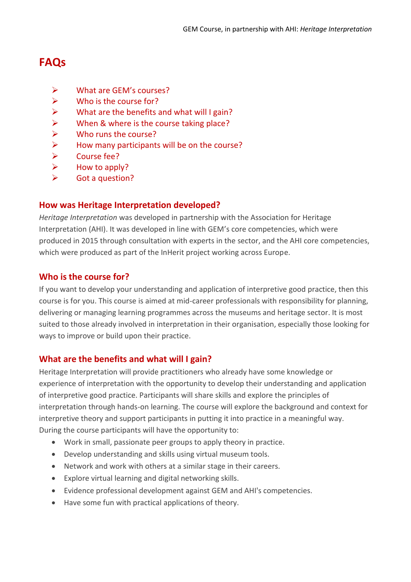## **FAQs**

- ➢ [What are GEM's courses?](#page-1-0)
- $\triangleright$  Who is the course for?
- $\triangleright$  [What are the benefits and what will I gain?](#page-1-1)
- $\triangleright$  [When & where is the course](#page-2-0) taking place?
- ➢ [Who runs the course?](#page-2-1)
- $\triangleright$  [How many participants will be on the course?](#page-2-2)
- ➢ [Course fee?](#page-2-3)
- $\triangleright$  [How to apply?](#page-2-4)
- ➢ [Got a question?](#page-3-0)

### <span id="page-1-0"></span>**How was Heritage Interpretation developed?**

*Heritage Interpretation* was developed in partnership with the Association for Heritage Interpretation (AHI). It was developed in line with GEM's core competencies, which were produced in 2015 through consultation with experts in the sector, and the AHI core competencies, which were produced as part of the InHerit project working across Europe.

### **Who is the course for?**

If you want to develop your understanding and application of interpretive good practice, then this course is for you. This course is aimed at mid-career professionals with responsibility for planning, delivering or managing learning programmes across the museums and heritage sector. It is most suited to those already involved in interpretation in their organisation, especially those looking for ways to improve or build upon their practice.

### <span id="page-1-1"></span>**What are the benefits and what will I gain?**

Heritage Interpretation will provide practitioners who already have some knowledge or experience of interpretation with the opportunity to develop their understanding and application of interpretive good practice. Participants will share skills and explore the principles of interpretation through hands-on learning. The course will explore the background and context for interpretive theory and support participants in putting it into practice in a meaningful way. During the course participants will have the opportunity to:

- Work in small, passionate peer groups to apply theory in practice.
- Develop understanding and skills using virtual museum tools.
- Network and work with others at a similar stage in their careers.
- Explore virtual learning and digital networking skills.
- Evidence professional development against GEM and AHI's competencies.
- Have some fun with practical applications of theory.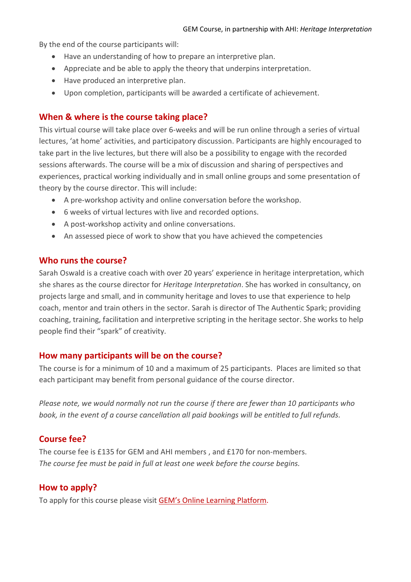By the end of the course participants will:

- Have an understanding of how to prepare an interpretive plan.
- Appreciate and be able to apply the theory that underpins interpretation.
- Have produced an interpretive plan.
- Upon completion, participants will be awarded a certificate of achievement.

### <span id="page-2-0"></span>**When & where is the course taking place?**

This virtual course will take place over 6-weeks and will be run online through a series of virtual lectures, 'at home' activities, and participatory discussion. Participants are highly encouraged to take part in the live lectures, but there will also be a possibility to engage with the recorded sessions afterwards. The course will be a mix of discussion and sharing of perspectives and experiences, practical working individually and in small online groups and some presentation of theory by the course director. This will include:

- A pre-workshop activity and online conversation before the workshop.
- 6 weeks of virtual lectures with live and recorded options.
- A post-workshop activity and online conversations.
- An assessed piece of work to show that you have achieved the competencies

### <span id="page-2-1"></span>**Who runs the course?**

Sarah Oswald is a creative coach with over 20 years' experience in heritage interpretation, which she shares as the course director for *Heritage Interpretation*. She has worked in consultancy, on projects large and small, and in community heritage and loves to use that experience to help coach, mentor and train others in the sector. Sarah is director of The Authentic Spark; providing coaching, training, facilitation and interpretive scripting in the heritage sector. She works to help people find their "spark" of creativity.

### <span id="page-2-2"></span>**How many participants will be on the course?**

The course is for a minimum of 10 and a maximum of 25 participants. Places are limited so that each participant may benefit from personal guidance of the course director.

*Please note, we would normally not run the course if there are fewer than 10 participants who book, in the event of a course cancellation all paid bookings will be entitled to full refunds.* 

### <span id="page-2-3"></span>**Course fee?**

The course fee is £135 for GEM and AHI members , and £170 for non-members. *The course fee must be paid in full at least one week before the course begins.* 

### <span id="page-2-4"></span>**How to apply?**

To apply for this course please visit GEM's Online L[earning Platform.](courses.gem.org.uk/p/heritage-interpretation)